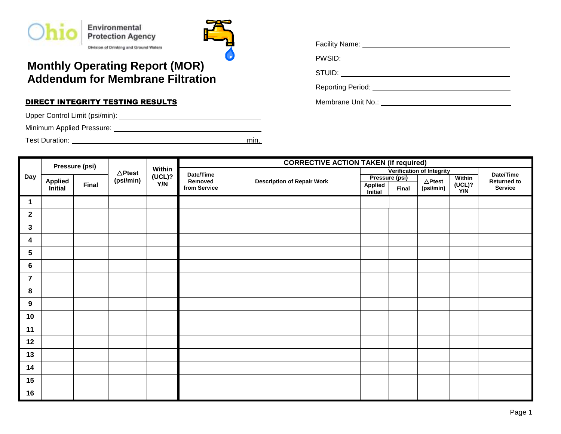



## **Monthly Operating Report (MOR) Addendum for Membrane Filtration**

## **DIRECT INTEGRITY TESTING RESULTS Example 20 AM ADDITIONAL Membrane Unit No.: Membrane Unit No.:** 0.1

Upper Control Limit (psi/min): .

Minimum Applied Pressure: .

Test Duration: min. .

| Facility Name:    |  |
|-------------------|--|
| PWSID:            |  |
| STUID:            |  |
| Reporting Period: |  |

|                 |                | Pressure (psi) | Within<br>$\triangle$ Ptest |         | <b>CORRECTIVE ACTION TAKEN (if required)</b> |                |                    |                           |                                 |               |         |  |  |
|-----------------|----------------|----------------|-----------------------------|---------|----------------------------------------------|----------------|--------------------|---------------------------|---------------------------------|---------------|---------|--|--|
|                 |                |                |                             |         | Date/Time                                    |                |                    | Verification of Integrity | Date/Time<br><b>Returned to</b> |               |         |  |  |
| Day             | <b>Applied</b> | (psi/min)      | (UCL)?<br>Y/N               | Removed | <b>Description of Repair Work</b>            | Pressure (psi) |                    | $\Delta$ Ptest            |                                 | Within        |         |  |  |
|                 | Initial        | <b>Final</b>   |                             |         | from Service                                 |                | Applied<br>Initial | Final                     | (psi/min)                       | (UCL)?<br>Y/N | Service |  |  |
| 1               |                |                |                             |         |                                              |                |                    |                           |                                 |               |         |  |  |
| $\overline{2}$  |                |                |                             |         |                                              |                |                    |                           |                                 |               |         |  |  |
| $\mathbf{3}$    |                |                |                             |         |                                              |                |                    |                           |                                 |               |         |  |  |
| 4               |                |                |                             |         |                                              |                |                    |                           |                                 |               |         |  |  |
| $5\phantom{.0}$ |                |                |                             |         |                                              |                |                    |                           |                                 |               |         |  |  |
| 6               |                |                |                             |         |                                              |                |                    |                           |                                 |               |         |  |  |
| $\overline{7}$  |                |                |                             |         |                                              |                |                    |                           |                                 |               |         |  |  |
| 8               |                |                |                             |         |                                              |                |                    |                           |                                 |               |         |  |  |
| 9               |                |                |                             |         |                                              |                |                    |                           |                                 |               |         |  |  |
| 10              |                |                |                             |         |                                              |                |                    |                           |                                 |               |         |  |  |
| 11              |                |                |                             |         |                                              |                |                    |                           |                                 |               |         |  |  |
| 12              |                |                |                             |         |                                              |                |                    |                           |                                 |               |         |  |  |
| 13              |                |                |                             |         |                                              |                |                    |                           |                                 |               |         |  |  |
| 14              |                |                |                             |         |                                              |                |                    |                           |                                 |               |         |  |  |
| 15              |                |                |                             |         |                                              |                |                    |                           |                                 |               |         |  |  |
| 16              |                |                |                             |         |                                              |                |                    |                           |                                 |               |         |  |  |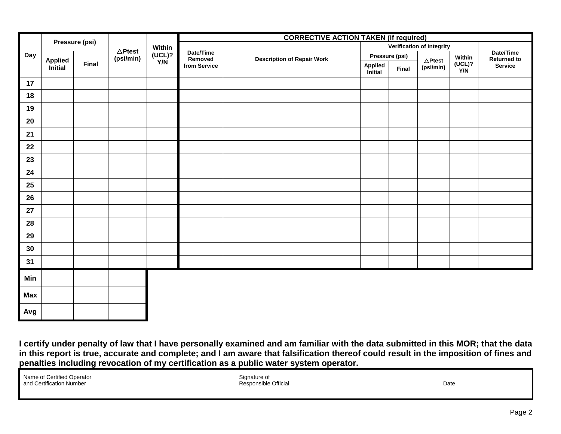| Pressure (psi) |                                                  |  |                   | <b>CORRECTIVE ACTION TAKEN (if required)</b> |                      |                                   |                           |       |                   |               |                                 |  |  |
|----------------|--------------------------------------------------|--|-------------------|----------------------------------------------|----------------------|-----------------------------------|---------------------------|-------|-------------------|---------------|---------------------------------|--|--|
|                |                                                  |  | $\triangle$ Ptest | Within                                       |                      |                                   | Verification of Integrity |       |                   |               |                                 |  |  |
| Day            | <b>Applied</b><br><b>Final</b><br><i>initial</i> |  | (psi/min)         | (UCL)?<br>Y/N                                | Date/Time<br>Removed | <b>Description of Repair Work</b> | Pressure (psi)            |       | $\triangle$ Ptest | Within        | Date/Time<br><b>Returned to</b> |  |  |
|                |                                                  |  |                   |                                              | from Service         |                                   | Applied<br>Initial        | Final | (psi/min)         | (UCL)?<br>Y/N | <b>Service</b>                  |  |  |
| 17             |                                                  |  |                   |                                              |                      |                                   |                           |       |                   |               |                                 |  |  |
| 18             |                                                  |  |                   |                                              |                      |                                   |                           |       |                   |               |                                 |  |  |
| 19             |                                                  |  |                   |                                              |                      |                                   |                           |       |                   |               |                                 |  |  |
| 20             |                                                  |  |                   |                                              |                      |                                   |                           |       |                   |               |                                 |  |  |
| 21             |                                                  |  |                   |                                              |                      |                                   |                           |       |                   |               |                                 |  |  |
| 22             |                                                  |  |                   |                                              |                      |                                   |                           |       |                   |               |                                 |  |  |
| 23             |                                                  |  |                   |                                              |                      |                                   |                           |       |                   |               |                                 |  |  |
| 24             |                                                  |  |                   |                                              |                      |                                   |                           |       |                   |               |                                 |  |  |
| 25             |                                                  |  |                   |                                              |                      |                                   |                           |       |                   |               |                                 |  |  |
| 26             |                                                  |  |                   |                                              |                      |                                   |                           |       |                   |               |                                 |  |  |
| 27             |                                                  |  |                   |                                              |                      |                                   |                           |       |                   |               |                                 |  |  |
| 28             |                                                  |  |                   |                                              |                      |                                   |                           |       |                   |               |                                 |  |  |
| 29             |                                                  |  |                   |                                              |                      |                                   |                           |       |                   |               |                                 |  |  |
| 30             |                                                  |  |                   |                                              |                      |                                   |                           |       |                   |               |                                 |  |  |
| 31             |                                                  |  |                   |                                              |                      |                                   |                           |       |                   |               |                                 |  |  |
| Min            |                                                  |  |                   |                                              |                      |                                   |                           |       |                   |               |                                 |  |  |
| <b>Max</b>     |                                                  |  |                   |                                              |                      |                                   |                           |       |                   |               |                                 |  |  |
|                |                                                  |  |                   |                                              |                      |                                   |                           |       |                   |               |                                 |  |  |
| Avg            |                                                  |  |                   |                                              |                      |                                   |                           |       |                   |               |                                 |  |  |

**I certify under penalty of law that I have personally examined and am familiar with the data submitted in this MOR; that the data in this report is true, accurate and complete; and I am aware that falsification thereof could result in the imposition of fines and penalties including revocation of my certification as a public water system operator.**

| Name of Certified Operator |
|----------------------------|
| and Certification Number   |

Signature of Responsible Official Date Number Responsible Official Date